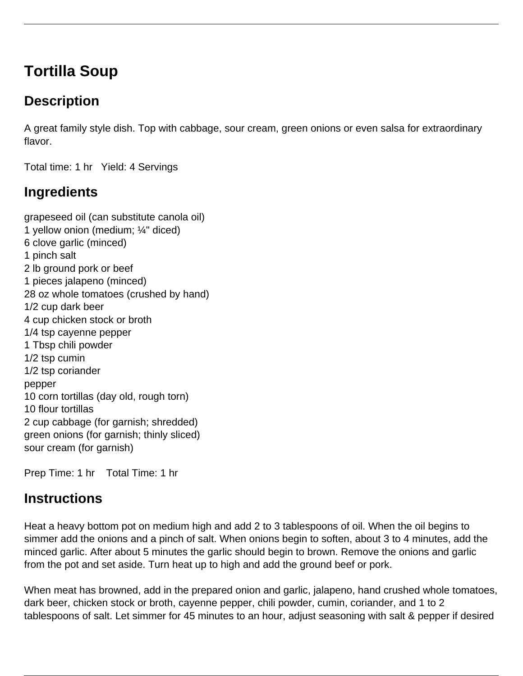# **Tortilla Soup**

### **Description**

A great family style dish. Top with cabbage, sour cream, green onions or even salsa for extraordinary flavor.

Total time: 1 hr Yield: 4 Servings

## **Ingredients**

grapeseed oil (can substitute canola oil) 1 yellow onion (medium; ¼" diced) 6 clove garlic (minced) 1 pinch salt 2 lb ground pork or beef 1 pieces jalapeno (minced) 28 oz whole tomatoes (crushed by hand) 1/2 cup dark beer 4 cup chicken stock or broth 1/4 tsp cayenne pepper 1 Tbsp chili powder 1/2 tsp cumin 1/2 tsp coriander pepper 10 corn tortillas (day old, rough torn) 10 flour tortillas 2 cup cabbage (for garnish; shredded) green onions (for garnish; thinly sliced) sour cream (for garnish)

Prep Time: 1 hr Total Time: 1 hr

#### **Instructions**

Heat a heavy bottom pot on medium high and add 2 to 3 tablespoons of oil. When the oil begins to simmer add the onions and a pinch of salt. When onions begin to soften, about 3 to 4 minutes, add the minced garlic. After about 5 minutes the garlic should begin to brown. Remove the onions and garlic from the pot and set aside. Turn heat up to high and add the ground beef or pork.

When meat has browned, add in the prepared onion and garlic, jalapeno, hand crushed whole tomatoes, dark beer, chicken stock or broth, cayenne pepper, chili powder, cumin, coriander, and 1 to 2 tablespoons of salt. Let simmer for 45 minutes to an hour, adjust seasoning with salt & pepper if desired